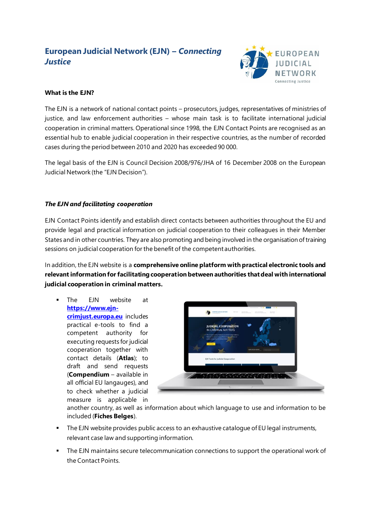# **European Judicial Network (EJN) –** *Connecting Justice*



## **What is the EJN?**

The EJN is a network of national contact points – prosecutors, judges, representatives of ministries of justice, and law enforcement authorities – whose main task is to facilitate international judicial cooperation in criminal matters. Operational since 1998, the EJN Contact Points are recognised as an essential hub to enable judicial cooperation in their respective countries, as the number of recorded cases during the period between 2010 and 2020 has exceeded 90 000.

The legal basis of the EJN is Council Decision 2008/976/JHA of 16 December 2008 on the European Judicial Network (the "EJN Decision").

### *The EJN and facilitating cooperation*

EJN Contact Points identify and establish direct contacts between authorities throughout the EU and provide legal and practical information on judicial cooperation to their colleagues in their Member States and in other countries. They are also promoting and being involved in the organisation of training sessions on judicial cooperation for the benefit of the competent authorities.

In addition, the EJN website is a **comprehensive online platform with practical electronic tools and relevant information for facilitating cooperation between authorities that deal with international judicial cooperation in criminal matters.** 

The FJN website at **[https://www.ejn](https://www.ejn-crimjust.europa.eu/)[crimjust.europa.eu](https://www.ejn-crimjust.europa.eu/)** includes practical e-tools to find a competent authority for executing requests for judicial cooperation together with contact details (**Atlas**); to draft and send requests (**Compendium** – available in all official EU langauges), and to check whether a judicial measure is applicable in



another country, as well as information about which language to use and information to be included (**Fiches Belges**).

- The EJN website provides public access to an exhaustive catalogue of EU legal instruments, relevant case law and supporting information.
- **•** The EJN maintains secure telecommunication connections to support the operational work of the Contact Points.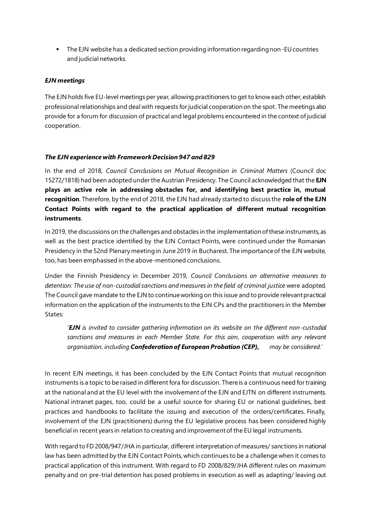■ The EJN website has a dedicated section providing information regarding non-EU countries and judicial networks.

#### *EJN meetings*

The EJN holds five EU-level meetings per year, allowing practitioners to get to know each other, establish professional relationships and deal with requests for judicial cooperation on the spot. The meetings also provide for a forum for discussion of practical and legal problems encountered in the context of judicial cooperation.

#### *The EJN experience with Framework Decision 947 and 829*

In the end of 2018, *Council Conclusions on Mutual Recognition in Criminal Matters* (Council doc 15272/1818) had been adopted under the Austrian Presidency. The Council acknowledged that the **EJN plays an active role in addressing obstacles for, and identifying best practice in, mutual recognition**. Therefore, by the end of 2018, the EJN had already started to discuss the **role of the EJN Contact Points with regard to the practical application of different mutual recognition instruments**.

In 2019, the discussions on the challenges and obstacles in the implementation of these instruments, as well as the best practice identified by the EJN Contact Points, were continued under the Romanian Presidency in the 52nd Plenary meeting in June 2019 in Bucharest. The importance of the EJN website, too, has been emphasised in the above-mentioned conclusions.

Under the Finnish Presidency in December 2019, *Council Conclusions on alternative measures to detention: The use of non-custodial sanctions and measures in the field of criminal justice* were adopted. The Council gave mandate to the EJN to continue working on this issue and to provide relevant practical information on the application of the instruments to the EJN CPs and the practitioners in the Member States:

'*EJN is invited to consider gathering information on its website on the different non-custodial sanctions and measures in each Member State. For this aim, cooperation with any relevant organisation, including Confederation of European Probation (CEP), may be considered.*'

In recent EJN meetings, it has been concluded by the EJN Contact Points that mutual recognition instruments is a topic to be raised in different fora for discussion. There is a continuous need for training at the national and at the EU level with the involvement of the EJN and EJTN on different instruments. National intranet pages, too, could be a useful source for sharing EU or national guidelines, best practices and handbooks to facilitate the issuing and execution of the orders/certificates. Finally, involvement of the EJN (practitioners) during the EU legislative process has been considered highly beneficial in recent years in relation to creating and improvementof the EU legal instruments.

With regard to FD 2008/947/JHA in particular, different interpretation of measures/ sanctions in national law has been admitted by the EJN Contact Points, which continues to be a challenge when it comes to practical application of this instrument. With regard to FD 2008/829/JHA different rules on maximum penalty and on pre-trial detention has posed problems in execution as well as adapting/ leaving out